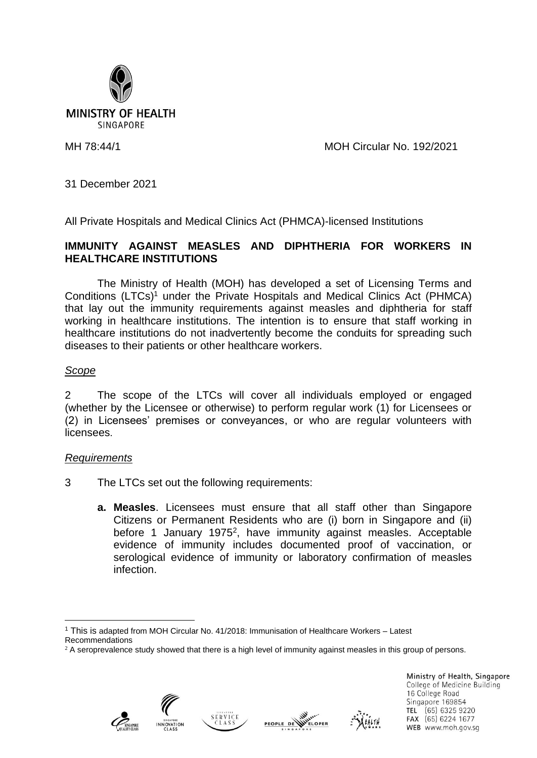

MH 78:44/1 MOH Circular No. 192/2021

31 December 2021

All Private Hospitals and Medical Clinics Act (PHMCA)-licensed Institutions

## **IMMUNITY AGAINST MEASLES AND DIPHTHERIA FOR WORKERS IN HEALTHCARE INSTITUTIONS**

The Ministry of Health (MOH) has developed a set of Licensing Terms and Conditions (LTCs) <sup>1</sup> under the Private Hospitals and Medical Clinics Act (PHMCA) that lay out the immunity requirements against measles and diphtheria for staff working in healthcare institutions. The intention is to ensure that staff working in healthcare institutions do not inadvertently become the conduits for spreading such diseases to their patients or other healthcare workers.

## *Scope*

2 The scope of the LTCs will cover all individuals employed or engaged (whether by the Licensee or otherwise) to perform regular work (1) for Licensees or (2) in Licensees' premises or conveyances, or who are regular volunteers with licensees.

## *Requirements*

- 3 The LTCs set out the following requirements:
	- **a. Measles**. Licensees must ensure that all staff other than Singapore Citizens or Permanent Residents who are (i) born in Singapore and (ii) before 1 January 1975<sup>2</sup>, have immunity against measles. Acceptable evidence of immunity includes documented proof of vaccination, or serological evidence of immunity or laboratory confirmation of measles infection.

<sup>1</sup> This is adapted from MOH Circular No. 41/2018: Immunisation of Healthcare Workers – Latest Recommendations







Ministry of Health, Singapore College of Medicine Building 16 College Road Singapore 169854 TEL (65) 6325 9220 FAX (65) 6224 1677 WEB www.moh.gov.sq

 $2A$  seroprevalence study showed that there is a high level of immunity against measles in this group of persons.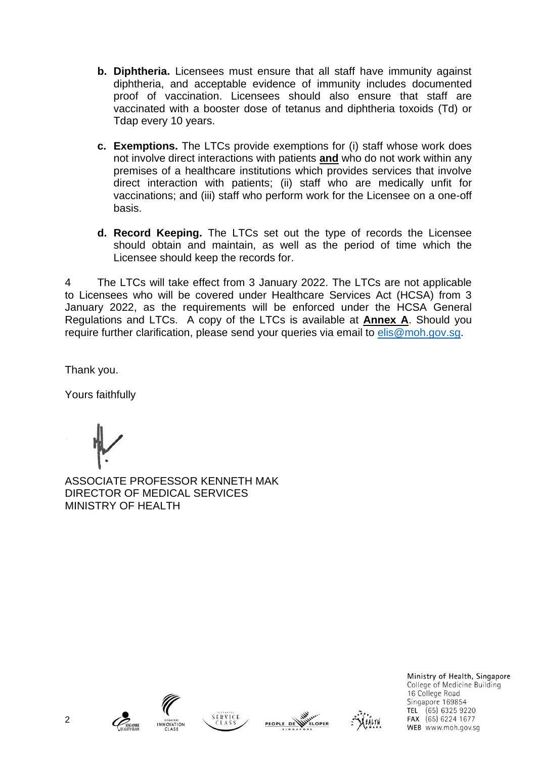- **b. Diphtheria.** Licensees must ensure that all staff have immunity against diphtheria, and acceptable evidence of immunity includes documented proof of vaccination. Licensees should also ensure that staff are vaccinated with a booster dose of tetanus and diphtheria toxoids (Td) or Tdap every 10 years.
- **c. Exemptions.** The LTCs provide exemptions for (i) staff whose work does not involve direct interactions with patients **and** who do not work within any premises of a healthcare institutions which provides services that involve direct interaction with patients; (ii) staff who are medically unfit for vaccinations; and (iii) staff who perform work for the Licensee on a one-off basis.
- **d. Record Keeping.** The LTCs set out the type of records the Licensee should obtain and maintain, as well as the period of time which the Licensee should keep the records for.

4 The LTCs will take effect from 3 January 2022. The LTCs are not applicable to Licensees who will be covered under Healthcare Services Act (HCSA) from 3 January 2022, as the requirements will be enforced under the HCSA General Regulations and LTCs. A copy of the LTCs is available at **Annex A**. Should you require further clarification, please send your queries via email to [elis@moh.gov.sg.](mailto:elis@moh.gov.sg)

Thank you.

Yours faithfully

ASSOCIATE PROFESSOR KENNETH MAK DIRECTOR OF MEDICAL SERVICES MINISTRY OF HEALTH











Ministry of Health, Singapore College of Medicine Building 16 College Road Singapore 169854 TEL (65) 6325 9220 FAX (65) 6224 1677 WEB www.moh.gov.sq